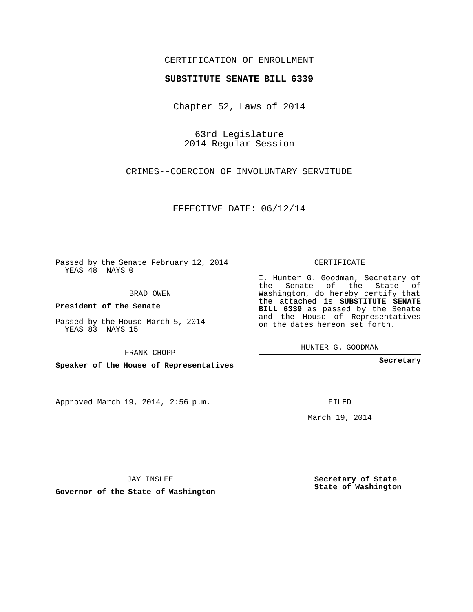## CERTIFICATION OF ENROLLMENT

## **SUBSTITUTE SENATE BILL 6339**

Chapter 52, Laws of 2014

63rd Legislature 2014 Regular Session

CRIMES--COERCION OF INVOLUNTARY SERVITUDE

EFFECTIVE DATE: 06/12/14

Passed by the Senate February 12, 2014 YEAS 48 NAYS 0

BRAD OWEN

**President of the Senate**

Passed by the House March 5, 2014 YEAS 83 NAYS 15

FRANK CHOPP

**Speaker of the House of Representatives**

Approved March 19, 2014, 2:56 p.m.

CERTIFICATE

I, Hunter G. Goodman, Secretary of the Senate of the State of Washington, do hereby certify that the attached is **SUBSTITUTE SENATE BILL 6339** as passed by the Senate and the House of Representatives on the dates hereon set forth.

HUNTER G. GOODMAN

**Secretary**

FILED

March 19, 2014

**Secretary of State State of Washington**

JAY INSLEE

**Governor of the State of Washington**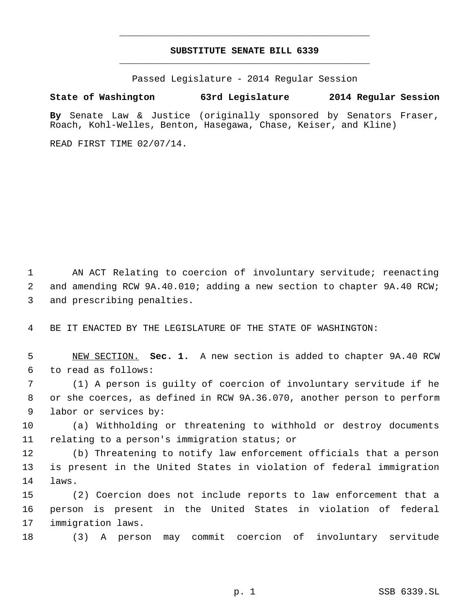## **SUBSTITUTE SENATE BILL 6339** \_\_\_\_\_\_\_\_\_\_\_\_\_\_\_\_\_\_\_\_\_\_\_\_\_\_\_\_\_\_\_\_\_\_\_\_\_\_\_\_\_\_\_\_\_

\_\_\_\_\_\_\_\_\_\_\_\_\_\_\_\_\_\_\_\_\_\_\_\_\_\_\_\_\_\_\_\_\_\_\_\_\_\_\_\_\_\_\_\_\_

Passed Legislature - 2014 Regular Session

## **State of Washington 63rd Legislature 2014 Regular Session**

**By** Senate Law & Justice (originally sponsored by Senators Fraser, Roach, Kohl-Welles, Benton, Hasegawa, Chase, Keiser, and Kline)

READ FIRST TIME 02/07/14.

 AN ACT Relating to coercion of involuntary servitude; reenacting and amending RCW 9A.40.010; adding a new section to chapter 9A.40 RCW; and prescribing penalties.

BE IT ENACTED BY THE LEGISLATURE OF THE STATE OF WASHINGTON:

 NEW SECTION. **Sec. 1.** A new section is added to chapter 9A.40 RCW to read as follows:

 (1) A person is guilty of coercion of involuntary servitude if he or she coerces, as defined in RCW 9A.36.070, another person to perform labor or services by:

 (a) Withholding or threatening to withhold or destroy documents relating to a person's immigration status; or

 (b) Threatening to notify law enforcement officials that a person is present in the United States in violation of federal immigration laws.

 (2) Coercion does not include reports to law enforcement that a person is present in the United States in violation of federal immigration laws.

(3) A person may commit coercion of involuntary servitude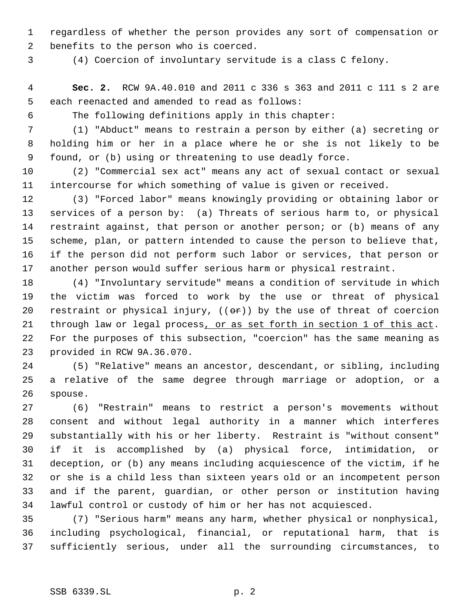regardless of whether the person provides any sort of compensation or benefits to the person who is coerced.

(4) Coercion of involuntary servitude is a class C felony.

 **Sec. 2.** RCW 9A.40.010 and 2011 c 336 s 363 and 2011 c 111 s 2 are each reenacted and amended to read as follows:

The following definitions apply in this chapter:

 (1) "Abduct" means to restrain a person by either (a) secreting or holding him or her in a place where he or she is not likely to be found, or (b) using or threatening to use deadly force.

 (2) "Commercial sex act" means any act of sexual contact or sexual intercourse for which something of value is given or received.

 (3) "Forced labor" means knowingly providing or obtaining labor or services of a person by: (a) Threats of serious harm to, or physical restraint against, that person or another person; or (b) means of any scheme, plan, or pattern intended to cause the person to believe that, if the person did not perform such labor or services, that person or another person would suffer serious harm or physical restraint.

 (4) "Involuntary servitude" means a condition of servitude in which the victim was forced to work by the use or threat of physical 20 restraint or physical injury,  $((\theta \cdot \mathbf{r}))$  by the use of threat of coercion 21 through law or legal process, or as set forth in section 1 of this act. For the purposes of this subsection, "coercion" has the same meaning as provided in RCW 9A.36.070.

 (5) "Relative" means an ancestor, descendant, or sibling, including a relative of the same degree through marriage or adoption, or a spouse.

 (6) "Restrain" means to restrict a person's movements without consent and without legal authority in a manner which interferes substantially with his or her liberty. Restraint is "without consent" if it is accomplished by (a) physical force, intimidation, or deception, or (b) any means including acquiescence of the victim, if he or she is a child less than sixteen years old or an incompetent person and if the parent, guardian, or other person or institution having lawful control or custody of him or her has not acquiesced.

 (7) "Serious harm" means any harm, whether physical or nonphysical, including psychological, financial, or reputational harm, that is sufficiently serious, under all the surrounding circumstances, to